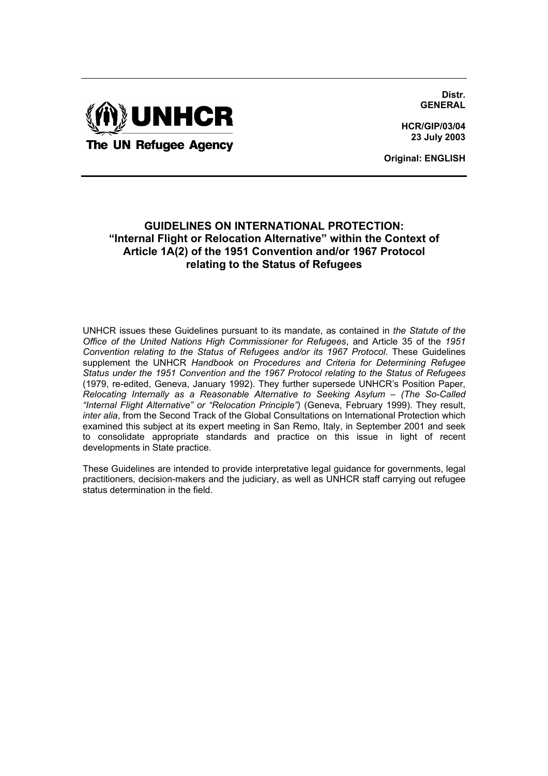

**Distr. GENERAL**

**HCR/GIP/03/04 23 July 2003**

**Original: ENGLISH**

# **GUIDELINES ON INTERNATIONAL PROTECTION: "Internal Flight or Relocation Alternative" within the Context of Article 1A(2) of the 1951 Convention and/or 1967 Protocol relating to the Status of Refugees**

UNHCR issues these Guidelines pursuant to its mandate, as contained in *the Statute of the Office of the United Nations High Commissioner for Refugees*, and Article 35 of the *1951 Convention relating to the Status of Refugees and/or its 1967 Protocol*. These Guidelines supplement the UNHCR *Handbook on Procedures and Criteria for Determining Refugee Status under the 1951 Convention and the 1967 Protocol relating to the Status of Refugees*  (1979, re-edited, Geneva, January 1992). They further supersede UNHCR's Position Paper, *Relocating Internally as a Reasonable Alternative to Seeking Asylum – (The So-Called "Internal Flight Alternative" or "Relocation Principle")* (Geneva, February 1999). They result, *inter alia*, from the Second Track of the Global Consultations on International Protection which examined this subject at its expert meeting in San Remo, Italy, in September 2001 and seek to consolidate appropriate standards and practice on this issue in light of recent developments in State practice.

These Guidelines are intended to provide interpretative legal guidance for governments, legal practitioners, decision-makers and the judiciary, as well as UNHCR staff carrying out refugee status determination in the field.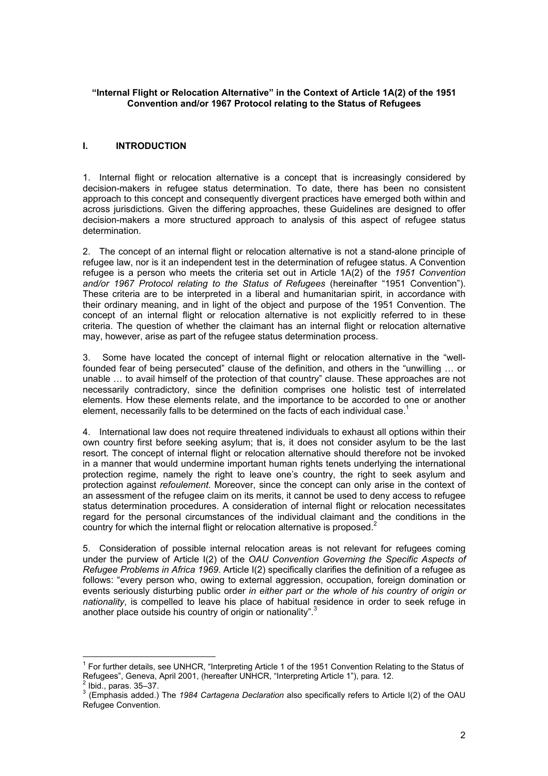### **"Internal Flight or Relocation Alternative" in the Context of Article 1A(2) of the 1951 Convention and/or 1967 Protocol relating to the Status of Refugees**

### **I. INTRODUCTION**

1. Internal flight or relocation alternative is a concept that is increasingly considered by decision-makers in refugee status determination. To date, there has been no consistent approach to this concept and consequently divergent practices have emerged both within and across jurisdictions. Given the differing approaches, these Guidelines are designed to offer decision-makers a more structured approach to analysis of this aspect of refugee status determination.

2. The concept of an internal flight or relocation alternative is not a stand-alone principle of refugee law, nor is it an independent test in the determination of refugee status. A Convention refugee is a person who meets the criteria set out in Article 1A(2) of the *1951 Convention and/or 1967 Protocol relating to the Status of Refugees* (hereinafter "1951 Convention"). These criteria are to be interpreted in a liberal and humanitarian spirit, in accordance with their ordinary meaning, and in light of the object and purpose of the 1951 Convention. The concept of an internal flight or relocation alternative is not explicitly referred to in these criteria. The question of whether the claimant has an internal flight or relocation alternative may, however, arise as part of the refugee status determination process.

3. Some have located the concept of internal flight or relocation alternative in the "wellfounded fear of being persecuted" clause of the definition, and others in the "unwilling … or unable … to avail himself of the protection of that country" clause. These approaches are not necessarily contradictory, since the definition comprises one holistic test of interrelated elements. How these elements relate, and the importance to be accorded to one or another element, necessarily falls to be determined on the facts of each individual case.

4. International law does not require threatened individuals to exhaust all options within their own country first before seeking asylum; that is, it does not consider asylum to be the last resort. The concept of internal flight or relocation alternative should therefore not be invoked in a manner that would undermine important human rights tenets underlying the international protection regime, namely the right to leave one's country, the right to seek asylum and protection against *refoulement*. Moreover, since the concept can only arise in the context of an assessment of the refugee claim on its merits, it cannot be used to deny access to refugee status determination procedures. A consideration of internal flight or relocation necessitates regard for the personal circumstances of the individual claimant and the conditions in the country for which the internal flight or relocation alternative is proposed.<sup>2</sup>

5. Consideration of possible internal relocation areas is not relevant for refugees coming under the purview of Article I(2) of the *OAU Convention Governing the Specific Aspects of Refugee Problems in Africa 1969*. Article I(2) specifically clarifies the definition of a refugee as follows: "every person who, owing to external aggression, occupation, foreign domination or events seriously disturbing public order *in either part or the whole of his country of origin or nationality*, is compelled to leave his place of habitual residence in order to seek refuge in another place outside his country of origin or nationality".<sup>3</sup>

<sup>————————————————————&</sup>lt;br><sup>1</sup> For further details, see UNHCR, "Interpreting Article 1 of the 1951 Convention Relating to the Status of Refugees", Geneva, April 2001, (hereafter UNHCR, "Interpreting Article 1"), para. 12.

 $<sup>2</sup>$  Ibid., paras. 35–37.</sup>

<sup>3</sup> (Emphasis added.) The *1984 Cartagena Declaration* also specifically refers to Article I(2) of the OAU Refugee Convention.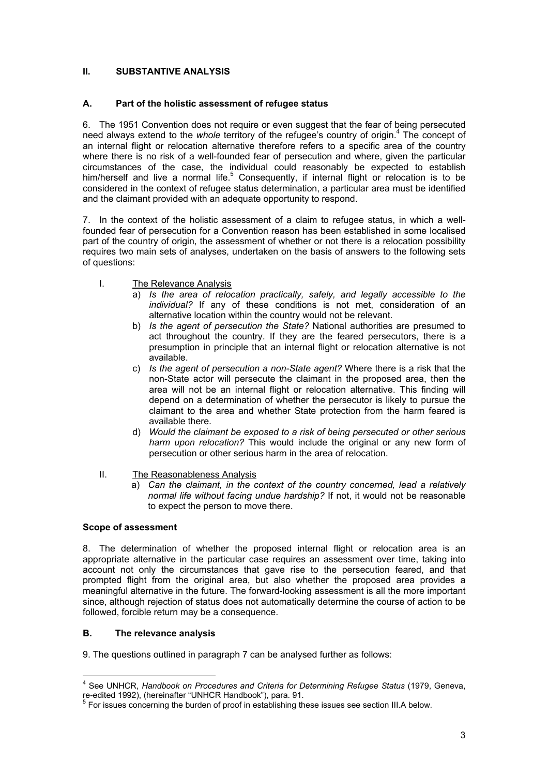## **II. SUBSTANTIVE ANALYSIS**

### **A. Part of the holistic assessment of refugee status**

6. The 1951 Convention does not require or even suggest that the fear of being persecuted need always extend to the *whole* territory of the refugee's country of origin.<sup>4</sup> The concept of an internal flight or relocation alternative therefore refers to a specific area of the country where there is no risk of a well-founded fear of persecution and where, given the particular circumstances of the case, the individual could reasonably be expected to establish him/herself and live a normal life.<sup>5</sup> Consequently, if internal flight or relocation is to be considered in the context of refugee status determination, a particular area must be identified and the claimant provided with an adequate opportunity to respond.

7. In the context of the holistic assessment of a claim to refugee status, in which a wellfounded fear of persecution for a Convention reason has been established in some localised part of the country of origin, the assessment of whether or not there is a relocation possibility requires two main sets of analyses, undertaken on the basis of answers to the following sets of questions:

- I. The Relevance Analysis
	- a) *Is the area of relocation practically, safely, and legally accessible to the individual?* If any of these conditions is not met, consideration of an alternative location within the country would not be relevant.
	- b) *Is the agent of persecution the State?* National authorities are presumed to act throughout the country. If they are the feared persecutors, there is a presumption in principle that an internal flight or relocation alternative is not available.
	- c) *Is the agent of persecution a non-State agent?* Where there is a risk that the non-State actor will persecute the claimant in the proposed area, then the area will not be an internal flight or relocation alternative. This finding will depend on a determination of whether the persecutor is likely to pursue the claimant to the area and whether State protection from the harm feared is available there.
	- d) *Would the claimant be exposed to a risk of being persecuted or other serious harm upon relocation?* This would include the original or any new form of persecution or other serious harm in the area of relocation.
- II. The Reasonableness Analysis
	- a) *Can the claimant, in the context of the country concerned, lead a relatively normal life without facing undue hardship?* If not, it would not be reasonable to expect the person to move there.

#### **Scope of assessment**

8. The determination of whether the proposed internal flight or relocation area is an appropriate alternative in the particular case requires an assessment over time, taking into account not only the circumstances that gave rise to the persecution feared, and that prompted flight from the original area, but also whether the proposed area provides a meaningful alternative in the future. The forward-looking assessment is all the more important since, although rejection of status does not automatically determine the course of action to be followed, forcible return may be a consequence.

### **B. The relevance analysis**

9. The questions outlined in paragraph 7 can be analysed further as follows:

 4 See UNHCR, *Handbook on Procedures and Criteria for Determining Refugee Status* (1979, Geneva, re-edited 1992), (hereinafter "UNHCR Handbook"), para. 91.

<sup>&</sup>lt;sup>5</sup> For issues concerning the burden of proof in establishing these issues see section III.A below.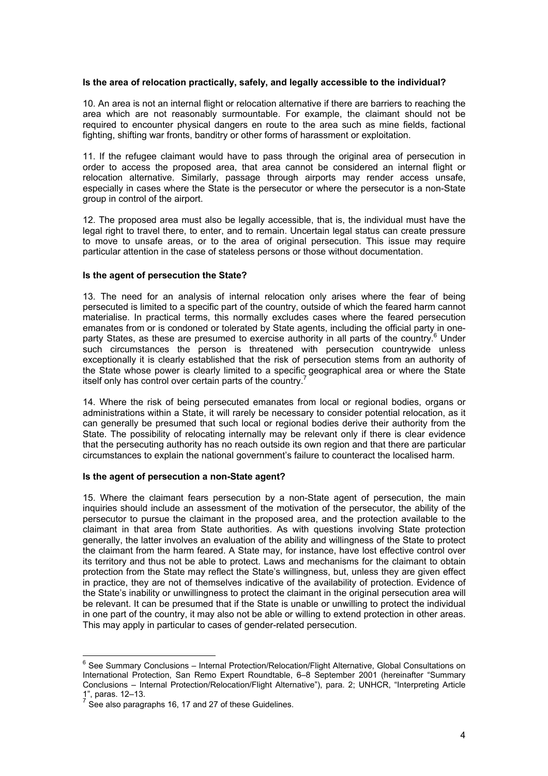#### **Is the area of relocation practically, safely, and legally accessible to the individual?**

10. An area is not an internal flight or relocation alternative if there are barriers to reaching the area which are not reasonably surmountable. For example, the claimant should not be required to encounter physical dangers en route to the area such as mine fields, factional fighting, shifting war fronts, banditry or other forms of harassment or exploitation.

11. If the refugee claimant would have to pass through the original area of persecution in order to access the proposed area, that area cannot be considered an internal flight or relocation alternative. Similarly, passage through airports may render access unsafe, especially in cases where the State is the persecutor or where the persecutor is a non-State group in control of the airport.

12. The proposed area must also be legally accessible, that is, the individual must have the legal right to travel there, to enter, and to remain. Uncertain legal status can create pressure to move to unsafe areas, or to the area of original persecution. This issue may require particular attention in the case of stateless persons or those without documentation.

#### **Is the agent of persecution the State?**

13. The need for an analysis of internal relocation only arises where the fear of being persecuted is limited to a specific part of the country, outside of which the feared harm cannot materialise. In practical terms, this normally excludes cases where the feared persecution emanates from or is condoned or tolerated by State agents, including the official party in oneparty States, as these are presumed to exercise authority in all parts of the country.<sup>6</sup> Under such circumstances the person is threatened with persecution countrywide unless exceptionally it is clearly established that the risk of persecution stems from an authority of the State whose power is clearly limited to a specific geographical area or where the State itself only has control over certain parts of the country.<sup>7</sup>

14. Where the risk of being persecuted emanates from local or regional bodies, organs or administrations within a State, it will rarely be necessary to consider potential relocation, as it can generally be presumed that such local or regional bodies derive their authority from the State. The possibility of relocating internally may be relevant only if there is clear evidence that the persecuting authority has no reach outside its own region and that there are particular circumstances to explain the national government's failure to counteract the localised harm.

#### **Is the agent of persecution a non-State agent?**

15. Where the claimant fears persecution by a non-State agent of persecution, the main inquiries should include an assessment of the motivation of the persecutor, the ability of the persecutor to pursue the claimant in the proposed area, and the protection available to the claimant in that area from State authorities. As with questions involving State protection generally, the latter involves an evaluation of the ability and willingness of the State to protect the claimant from the harm feared. A State may, for instance, have lost effective control over its territory and thus not be able to protect. Laws and mechanisms for the claimant to obtain protection from the State may reflect the State's willingness, but, unless they are given effect in practice, they are not of themselves indicative of the availability of protection. Evidence of the State's inability or unwillingness to protect the claimant in the original persecution area will be relevant. It can be presumed that if the State is unable or unwilling to protect the individual in one part of the country, it may also not be able or willing to extend protection in other areas. This may apply in particular to cases of gender-related persecution.

 6 See Summary Conclusions – Internal Protection/Relocation/Flight Alternative, Global Consultations on International Protection, San Remo Expert Roundtable, 6–8 September 2001 (hereinafter "Summary Conclusions – Internal Protection/Relocation/Flight Alternative"), para. 2; UNHCR, "Interpreting Article 1", paras. 12–13.

 $7 \text{ See}$  also paragraphs 16, 17 and 27 of these Guidelines.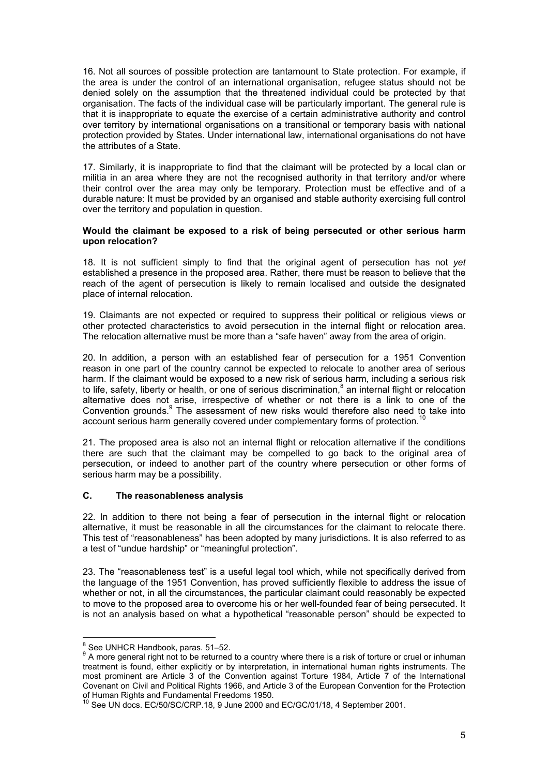16. Not all sources of possible protection are tantamount to State protection. For example, if the area is under the control of an international organisation, refugee status should not be denied solely on the assumption that the threatened individual could be protected by that organisation. The facts of the individual case will be particularly important. The general rule is that it is inappropriate to equate the exercise of a certain administrative authority and control over territory by international organisations on a transitional or temporary basis with national protection provided by States. Under international law, international organisations do not have the attributes of a State.

17. Similarly, it is inappropriate to find that the claimant will be protected by a local clan or militia in an area where they are not the recognised authority in that territory and/or where their control over the area may only be temporary. Protection must be effective and of a durable nature: It must be provided by an organised and stable authority exercising full control over the territory and population in question.

### **Would the claimant be exposed to a risk of being persecuted or other serious harm upon relocation?**

18. It is not sufficient simply to find that the original agent of persecution has not *yet* established a presence in the proposed area. Rather, there must be reason to believe that the reach of the agent of persecution is likely to remain localised and outside the designated place of internal relocation.

19. Claimants are not expected or required to suppress their political or religious views or other protected characteristics to avoid persecution in the internal flight or relocation area. The relocation alternative must be more than a "safe haven" away from the area of origin.

20. In addition, a person with an established fear of persecution for a 1951 Convention reason in one part of the country cannot be expected to relocate to another area of serious harm. If the claimant would be exposed to a new risk of serious harm, including a serious risk to life, safety, liberty or health, or one of serious discrimination, $^8$  an internal flight or relocation alternative does not arise, irrespective of whether or not there is a link to one of the Convention grounds.<sup>9</sup> The assessment of new risks would therefore also need to take into account serious harm generally covered under complementary forms of protection.<sup>10</sup>

21. The proposed area is also not an internal flight or relocation alternative if the conditions there are such that the claimant may be compelled to go back to the original area of persecution, or indeed to another part of the country where persecution or other forms of serious harm may be a possibility.

### **C. The reasonableness analysis**

22. In addition to there not being a fear of persecution in the internal flight or relocation alternative, it must be reasonable in all the circumstances for the claimant to relocate there. This test of "reasonableness" has been adopted by many jurisdictions. It is also referred to as a test of "undue hardship" or "meaningful protection".

23. The "reasonableness test" is a useful legal tool which, while not specifically derived from the language of the 1951 Convention, has proved sufficiently flexible to address the issue of whether or not, in all the circumstances, the particular claimant could reasonably be expected to move to the proposed area to overcome his or her well-founded fear of being persecuted. It is not an analysis based on what a hypothetical "reasonable person" should be expected to

ender and the UNHCR Handbook, paras. 51–52.<br>
See UNHCR Handbook, paras. 51–52.

 $9$  A more general right not to be returned to a country where there is a risk of torture or cruel or inhuman treatment is found, either explicitly or by interpretation, in international human rights instruments. The most prominent are Article 3 of the Convention against Torture 1984, Article 7 of the International Covenant on Civil and Political Rights 1966, and Article 3 of the European Convention for the Protection of Human Rights and Fundamental Freedoms 1950.

<sup>&</sup>lt;sup>10</sup> See UN docs. EC/50/SC/CRP.18, 9 June 2000 and EC/GC/01/18, 4 September 2001.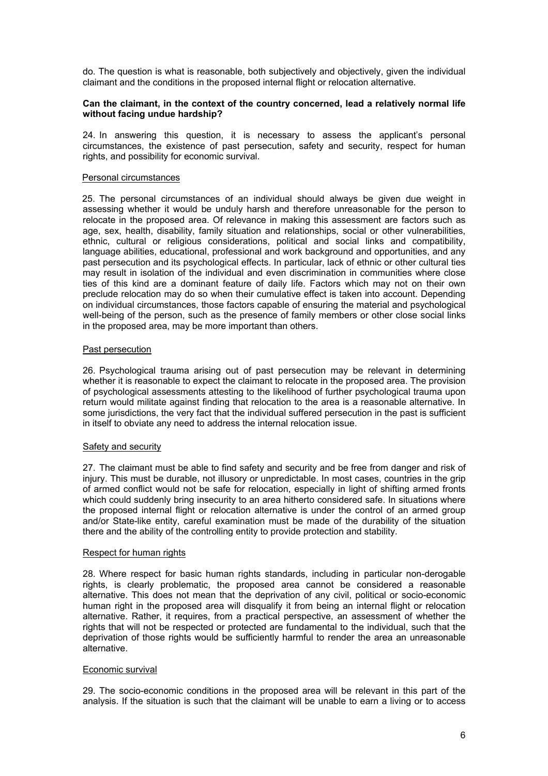do. The question is what is reasonable, both subjectively and objectively, given the individual claimant and the conditions in the proposed internal flight or relocation alternative.

### **Can the claimant, in the context of the country concerned, lead a relatively normal life without facing undue hardship?**

24. In answering this question, it is necessary to assess the applicant's personal circumstances, the existence of past persecution, safety and security, respect for human rights, and possibility for economic survival.

#### Personal circumstances

25. The personal circumstances of an individual should always be given due weight in assessing whether it would be unduly harsh and therefore unreasonable for the person to relocate in the proposed area. Of relevance in making this assessment are factors such as age, sex, health, disability, family situation and relationships, social or other vulnerabilities, ethnic, cultural or religious considerations, political and social links and compatibility, language abilities, educational, professional and work background and opportunities, and any past persecution and its psychological effects. In particular, lack of ethnic or other cultural ties may result in isolation of the individual and even discrimination in communities where close ties of this kind are a dominant feature of daily life. Factors which may not on their own preclude relocation may do so when their cumulative effect is taken into account. Depending on individual circumstances, those factors capable of ensuring the material and psychological well-being of the person, such as the presence of family members or other close social links in the proposed area, may be more important than others.

#### Past persecution

26. Psychological trauma arising out of past persecution may be relevant in determining whether it is reasonable to expect the claimant to relocate in the proposed area. The provision of psychological assessments attesting to the likelihood of further psychological trauma upon return would militate against finding that relocation to the area is a reasonable alternative. In some jurisdictions, the very fact that the individual suffered persecution in the past is sufficient in itself to obviate any need to address the internal relocation issue.

#### Safety and security

27. The claimant must be able to find safety and security and be free from danger and risk of injury. This must be durable, not illusory or unpredictable. In most cases, countries in the grip of armed conflict would not be safe for relocation, especially in light of shifting armed fronts which could suddenly bring insecurity to an area hitherto considered safe. In situations where the proposed internal flight or relocation alternative is under the control of an armed group and/or State-like entity, careful examination must be made of the durability of the situation there and the ability of the controlling entity to provide protection and stability.

#### Respect for human rights

28. Where respect for basic human rights standards, including in particular non-derogable rights, is clearly problematic, the proposed area cannot be considered a reasonable alternative. This does not mean that the deprivation of any civil, political or socio-economic human right in the proposed area will disqualify it from being an internal flight or relocation alternative. Rather, it requires, from a practical perspective, an assessment of whether the rights that will not be respected or protected are fundamental to the individual, such that the deprivation of those rights would be sufficiently harmful to render the area an unreasonable alternative.

#### Economic survival

29. The socio-economic conditions in the proposed area will be relevant in this part of the analysis. If the situation is such that the claimant will be unable to earn a living or to access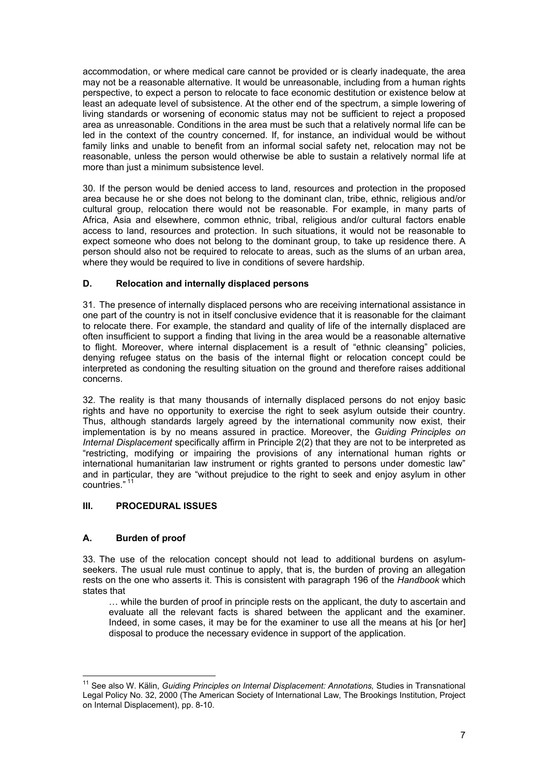accommodation, or where medical care cannot be provided or is clearly inadequate, the area may not be a reasonable alternative. It would be unreasonable, including from a human rights perspective, to expect a person to relocate to face economic destitution or existence below at least an adequate level of subsistence. At the other end of the spectrum, a simple lowering of living standards or worsening of economic status may not be sufficient to reject a proposed area as unreasonable. Conditions in the area must be such that a relatively normal life can be led in the context of the country concerned. If, for instance, an individual would be without family links and unable to benefit from an informal social safety net, relocation may not be reasonable, unless the person would otherwise be able to sustain a relatively normal life at more than just a minimum subsistence level.

30. If the person would be denied access to land, resources and protection in the proposed area because he or she does not belong to the dominant clan, tribe, ethnic, religious and/or cultural group, relocation there would not be reasonable. For example, in many parts of Africa, Asia and elsewhere, common ethnic, tribal, religious and/or cultural factors enable access to land, resources and protection. In such situations, it would not be reasonable to expect someone who does not belong to the dominant group, to take up residence there. A person should also not be required to relocate to areas, such as the slums of an urban area, where they would be required to live in conditions of severe hardship.

### **D. Relocation and internally displaced persons**

31. The presence of internally displaced persons who are receiving international assistance in one part of the country is not in itself conclusive evidence that it is reasonable for the claimant to relocate there. For example, the standard and quality of life of the internally displaced are often insufficient to support a finding that living in the area would be a reasonable alternative to flight. Moreover, where internal displacement is a result of "ethnic cleansing" policies, denying refugee status on the basis of the internal flight or relocation concept could be interpreted as condoning the resulting situation on the ground and therefore raises additional concerns.

32. The reality is that many thousands of internally displaced persons do not enjoy basic rights and have no opportunity to exercise the right to seek asylum outside their country. Thus, although standards largely agreed by the international community now exist, their implementation is by no means assured in practice. Moreover, the *Guiding Principles on Internal Displacement* specifically affirm in Principle 2(2) that they are not to be interpreted as "restricting, modifying or impairing the provisions of any international human rights or international humanitarian law instrument or rights granted to persons under domestic law" and in particular, they are "without prejudice to the right to seek and enjoy asylum in other countries."<sup>11</sup>

### **III. PROCEDURAL ISSUES**

## **A. Burden of proof**

l

33. The use of the relocation concept should not lead to additional burdens on asylumseekers. The usual rule must continue to apply, that is, the burden of proving an allegation rests on the one who asserts it. This is consistent with paragraph 196 of the *Handbook* which states that

… while the burden of proof in principle rests on the applicant, the duty to ascertain and evaluate all the relevant facts is shared between the applicant and the examiner. Indeed, in some cases, it may be for the examiner to use all the means at his [or her] disposal to produce the necessary evidence in support of the application.

<sup>&</sup>lt;sup>11</sup> See also W. Kälin, *Guiding Principles on Internal Displacement: Annotations, Studies in Transnational* Legal Policy No. 32, 2000 (The American Society of International Law, The Brookings Institution, Project on Internal Displacement), pp. 8-10.